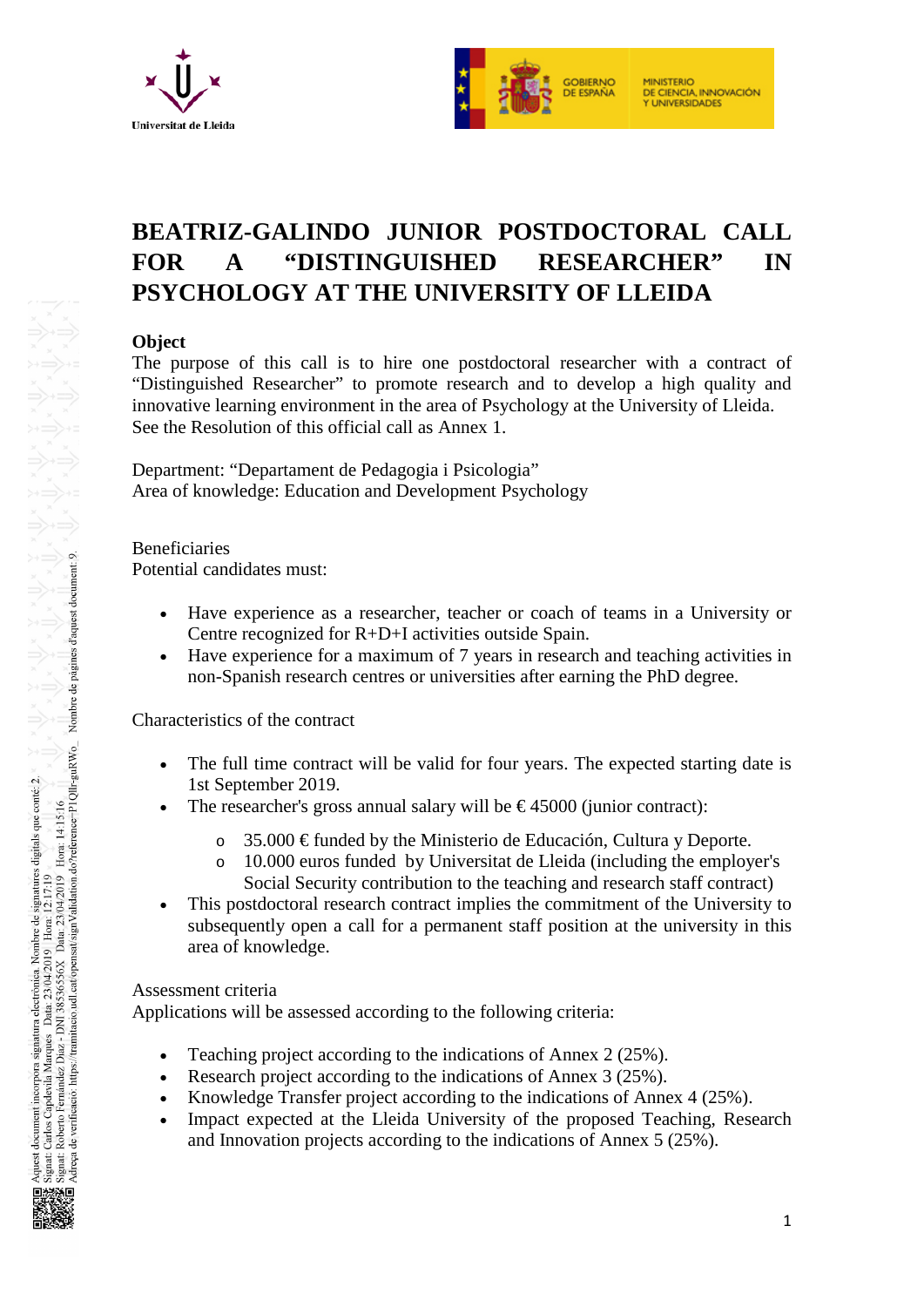



# **BEATRIZ-GALINDO JUNIOR POSTDOCTORAL CALL FOR A "DISTINGUISHED RESEARCHER" IN PSYCHOLOGY AT THE UNIVERSITY OF LLEIDA**

## **Object**

The purpose of this call is to hire one postdoctoral researcher with a contract of "Distinguished Researcher" to promote research and to develop a high quality and innovative learning environment in the area of Psychology at the University of Lleida. See the Resolution of this official call as Annex 1.

Department: "Departament de Pedagogia i Psicologia" Area of knowledge: Education and Development Psychology

Beneficiaries Potential candidates must:

- Have experience as a researcher, teacher or coach of teams in a University or Centre recognized for R+D+I activities outside Spain.
- Have experience for a maximum of 7 years in research and teaching activities in non-Spanish research centres or universities after earning the PhD degree.

## Characteristics of the contract

- The full time contract will be valid for four years. The expected starting date is 1st September 2019.
- The researcher's gross annual salary will be  $\epsilon$ 45000 (junior contract):
	- o 35.000 € funded by the Ministerio de Educación, Cultura y Deporte.
	- o 10.000 euros funded by Universitat de Lleida (including the employer's Social Security contribution to the teaching and research staff contract)
- This postdoctoral research contract implies the commitment of the University to subsequently open a call for a permanent staff position at the university in this area of knowledge.

## Assessment criteria

Applications will be assessed according to the following criteria:

- Teaching project according to the indications of Annex 2 (25%).
- Research project according to the indications of Annex 3 (25%).
- Knowledge Transfer project according to the indications of Annex 4 (25%).
- Impact expected at the Lleida University of the proposed Teaching, Research and Innovation projects according to the indications of Annex 5 (25%).

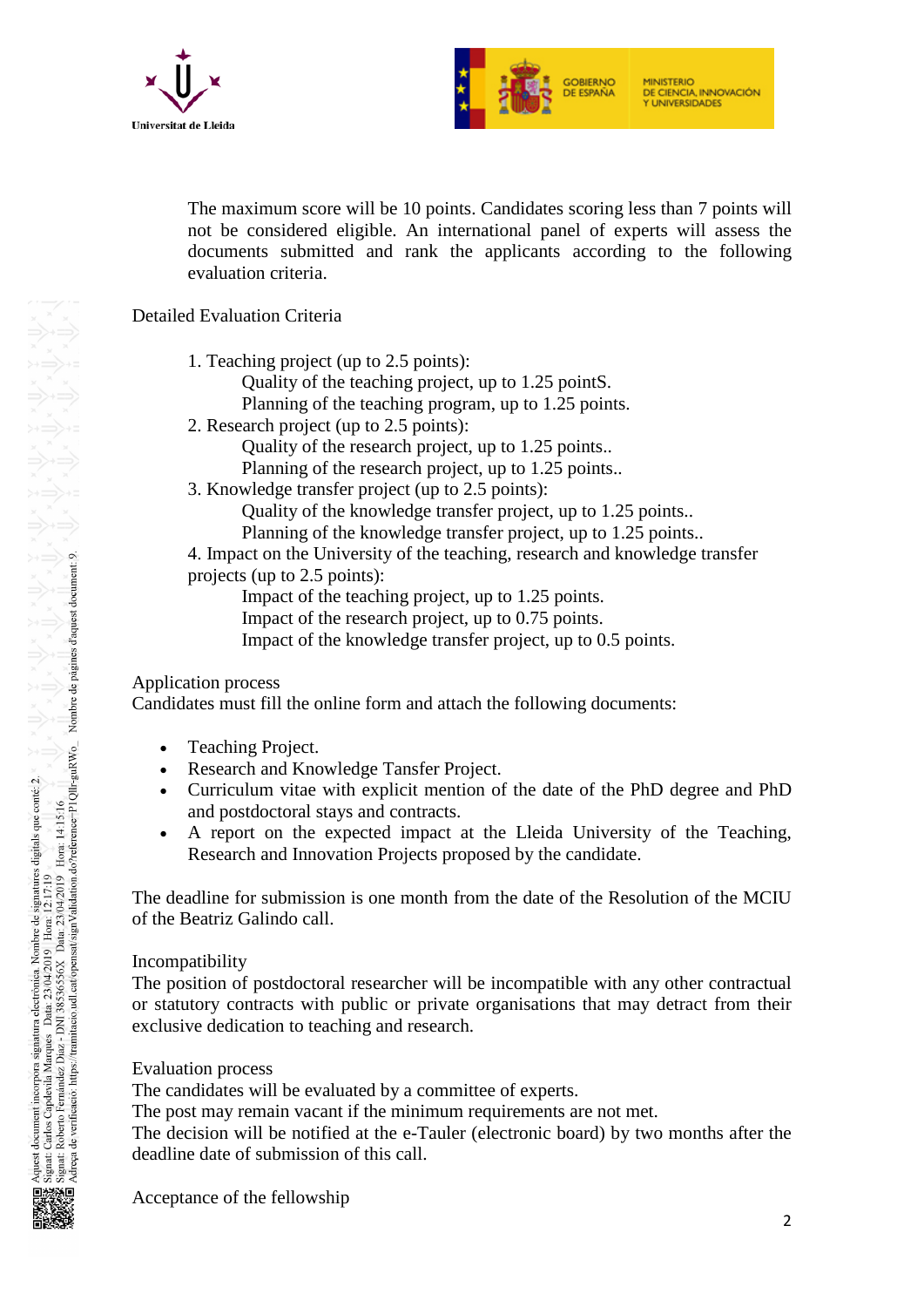



The maximum score will be 10 points. Candidates scoring less than 7 points will not be considered eligible. An international panel of experts will assess the documents submitted and rank the applicants according to the following evaluation criteria.

## Detailed Evaluation Criteria

1. Teaching project (up to 2.5 points):

Quality of the teaching project, up to 1.25 pointS.

Planning of the teaching program, up to 1.25 points.

2. Research project (up to 2.5 points):

Quality of the research project, up to 1.25 points..

Planning of the research project, up to 1.25 points..

3. Knowledge transfer project (up to 2.5 points):

Quality of the knowledge transfer project, up to 1.25 points..

Planning of the knowledge transfer project, up to 1.25 points..

4. Impact on the University of the teaching, research and knowledge transfer projects (up to 2.5 points):

Impact of the teaching project, up to 1.25 points.

Impact of the research project, up to 0.75 points.

Impact of the knowledge transfer project, up to 0.5 points.

## Application process

Candidates must fill the online form and attach the following documents:

- Teaching Project.
- Research and Knowledge Tansfer Project.
- Curriculum vitae with explicit mention of the date of the PhD degree and PhD and postdoctoral stays and contracts.
- A report on the expected impact at the Lleida University of the Teaching, Research and Innovation Projects proposed by the candidate.

The deadline for submission is one month from the date of the Resolution of the MCIU of the Beatriz Galindo call.

#### Incompatibility

The position of postdoctoral researcher will be incompatible with any other contractual or statutory contracts with public or private organisations that may detract from their exclusive dedication to teaching and research.

## Evaluation process

The candidates will be evaluated by a committee of experts.

The post may remain vacant if the minimum requirements are not met.

The decision will be notified at the e-Tauler (electronic board) by two months after the deadline date of submission of this call.

Acceptance of the fellowship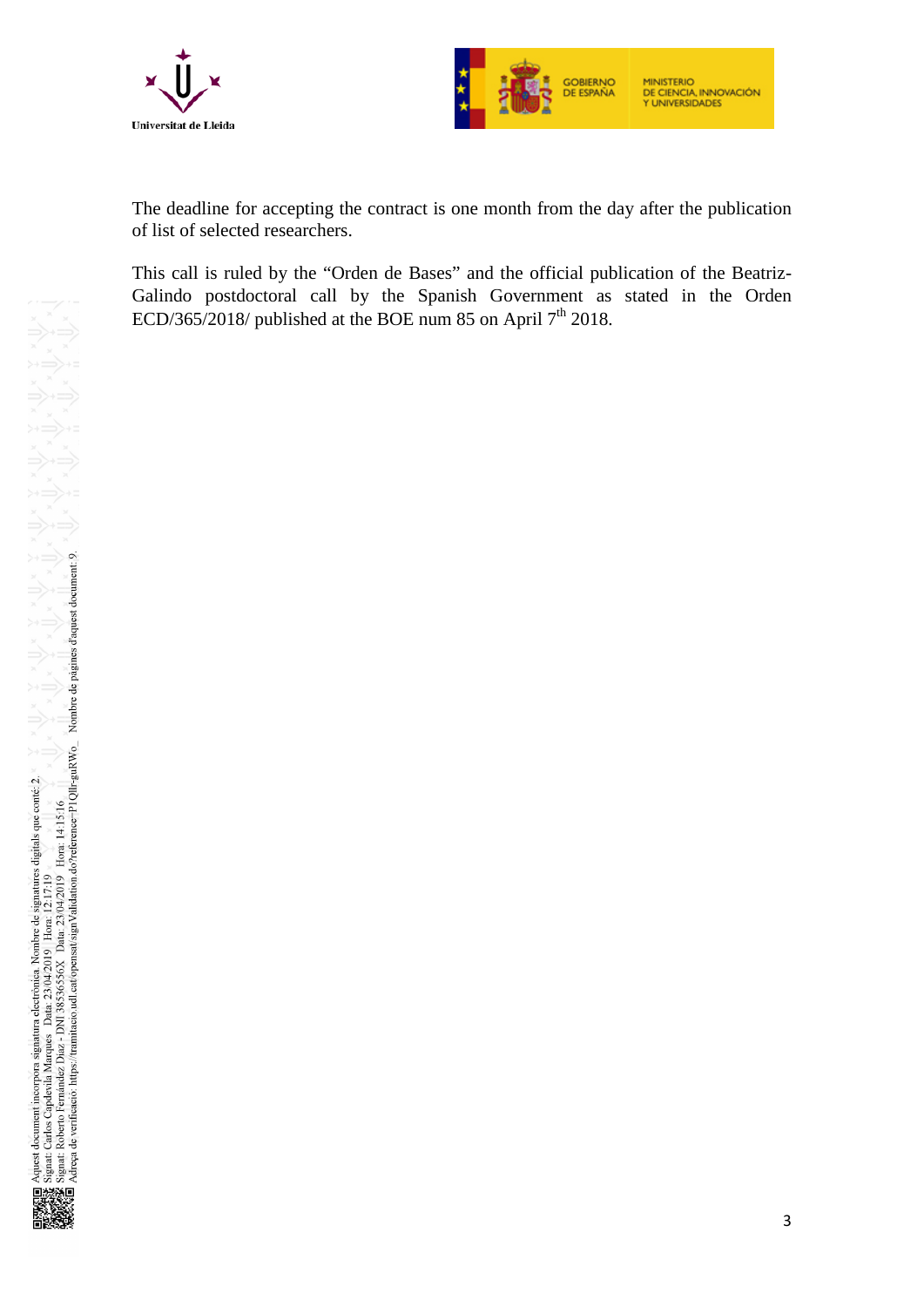



The deadline for accepting the contract is one month from the day after the publication of list of selected researchers.

This call is ruled by the "Orden de Bases" and the official publication of the Beatriz-Galindo postdoctoral call by the Spanish Government as stated in the Orden ECD/365/2018/ published at the BOE num 85 on April  $7<sup>th</sup>$  2018.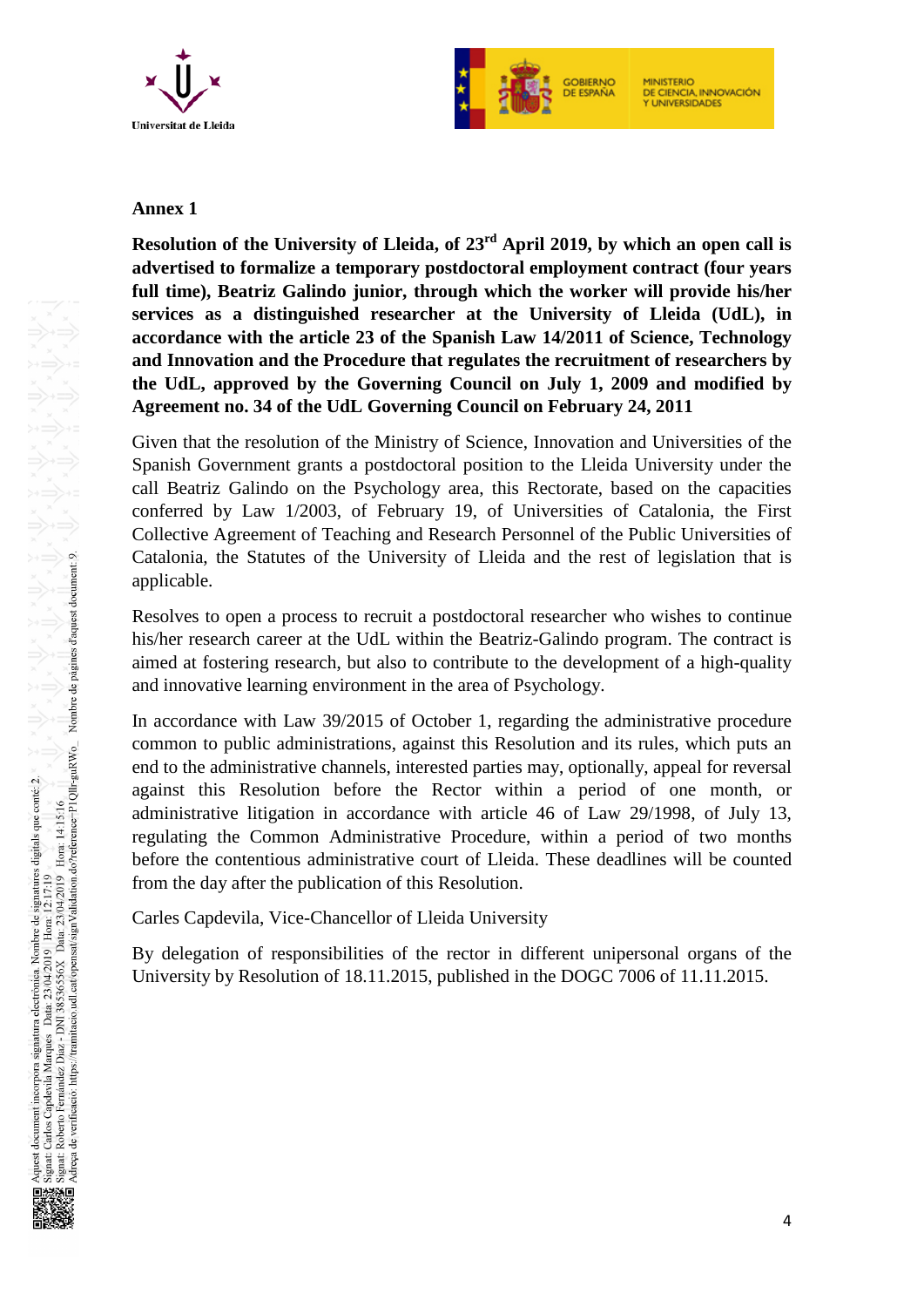



#### **Annex 1**

**Resolution of the University of Lleida, of 23rd April 2019, by which an open call is advertised to formalize a temporary postdoctoral employment contract (four years full time), Beatriz Galindo junior, through which the worker will provide his/her services as a distinguished researcher at the University of Lleida (UdL), in accordance with the article 23 of the Spanish Law 14/2011 of Science, Technology and Innovation and the Procedure that regulates the recruitment of researchers by the UdL, approved by the Governing Council on July 1, 2009 and modified by Agreement no. 34 of the UdL Governing Council on February 24, 2011**

Given that the resolution of the Ministry of Science, Innovation and Universities of the Spanish Government grants a postdoctoral position to the Lleida University under the call Beatriz Galindo on the Psychology area, this Rectorate, based on the capacities conferred by Law 1/2003, of February 19, of Universities of Catalonia, the First Collective Agreement of Teaching and Research Personnel of the Public Universities of Catalonia, the Statutes of the University of Lleida and the rest of legislation that is applicable.

Resolves to open a process to recruit a postdoctoral researcher who wishes to continue his/her research career at the UdL within the Beatriz-Galindo program. The contract is aimed at fostering research, but also to contribute to the development of a high-quality and innovative learning environment in the area of Psychology.

In accordance with Law 39/2015 of October 1, regarding the administrative procedure common to public administrations, against this Resolution and its rules, which puts an end to the administrative channels, interested parties may, optionally, appeal for reversal against this Resolution before the Rector within a period of one month, or administrative litigation in accordance with article 46 of Law 29/1998, of July 13, regulating the Common Administrative Procedure, within a period of two months before the contentious administrative court of Lleida. These deadlines will be counted from the day after the publication of this Resolution.

Carles Capdevila, Vice-Chancellor of Lleida University

By delegation of responsibilities of the rector in different unipersonal organs of the University by Resolution of 18.11.2015, published in the DOGC 7006 of 11.11.2015.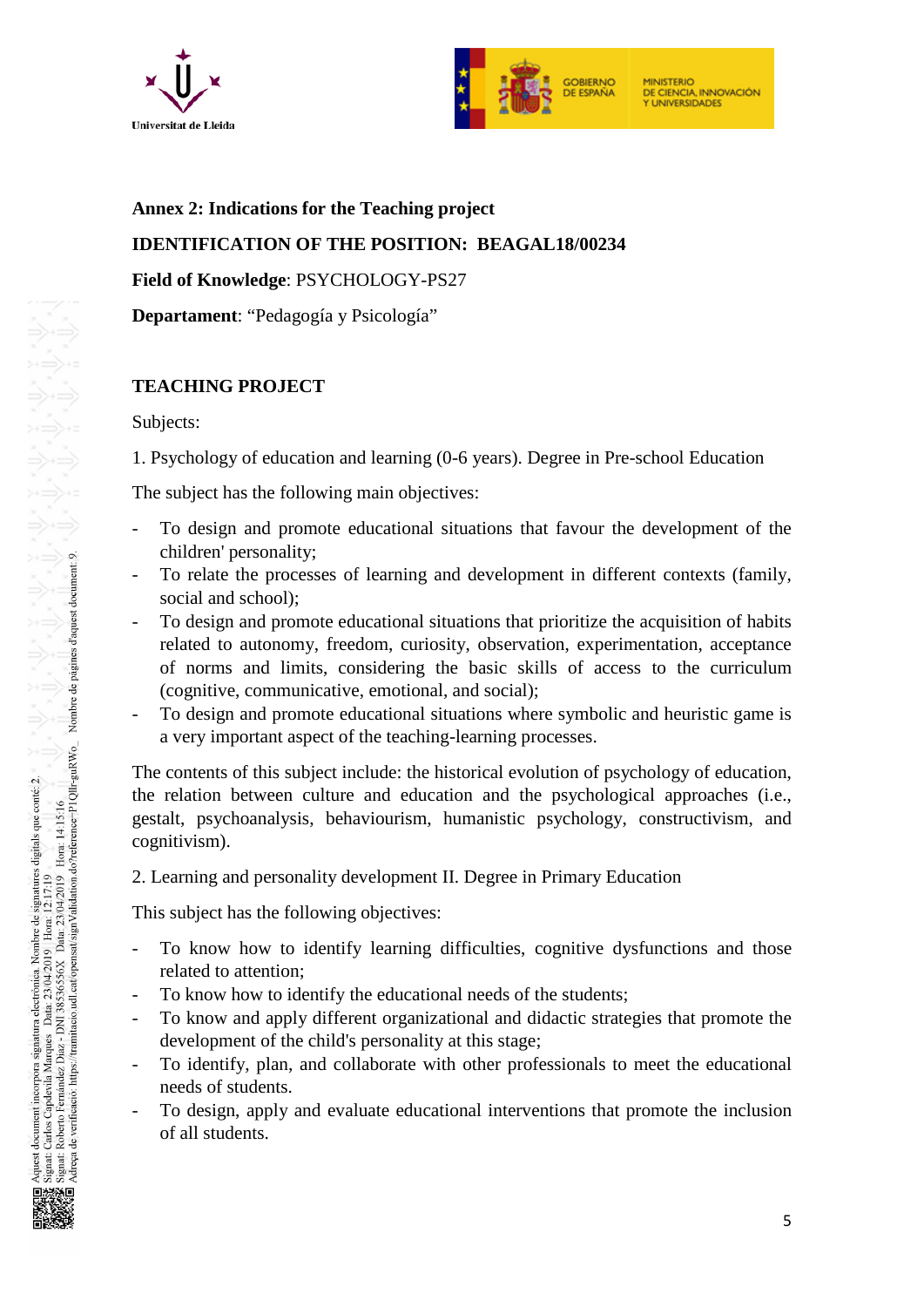



#### **Annex 2: Indications for the Teaching project**

## **IDENTIFICATION OF THE POSITION: BEAGAL18/00234**

**Field of Knowledge**: PSYCHOLOGY-PS27

**Departament**: "Pedagogía y Psicología"

## **TEACHING PROJECT**

Subjects:

1. Psychology of education and learning (0-6 years). Degree in Pre-school Education

The subject has the following main objectives:

- To design and promote educational situations that favour the development of the children' personality;
- To relate the processes of learning and development in different contexts (family, social and school);
- To design and promote educational situations that prioritize the acquisition of habits related to autonomy, freedom, curiosity, observation, experimentation, acceptance of norms and limits, considering the basic skills of access to the curriculum (cognitive, communicative, emotional, and social);
- To design and promote educational situations where symbolic and heuristic game is a very important aspect of the teaching-learning processes.

The contents of this subject include: the historical evolution of psychology of education, the relation between culture and education and the psychological approaches (i.e., gestalt, psychoanalysis, behaviourism, humanistic psychology, constructivism, and cognitivism).

2. Learning and personality development II. Degree in Primary Education

This subject has the following objectives:

- To know how to identify learning difficulties, cognitive dysfunctions and those related to attention;
- To know how to identify the educational needs of the students;
- To know and apply different organizational and didactic strategies that promote the development of the child's personality at this stage;
- To identify, plan, and collaborate with other professionals to meet the educational needs of students.
- To design, apply and evaluate educational interventions that promote the inclusion of all students.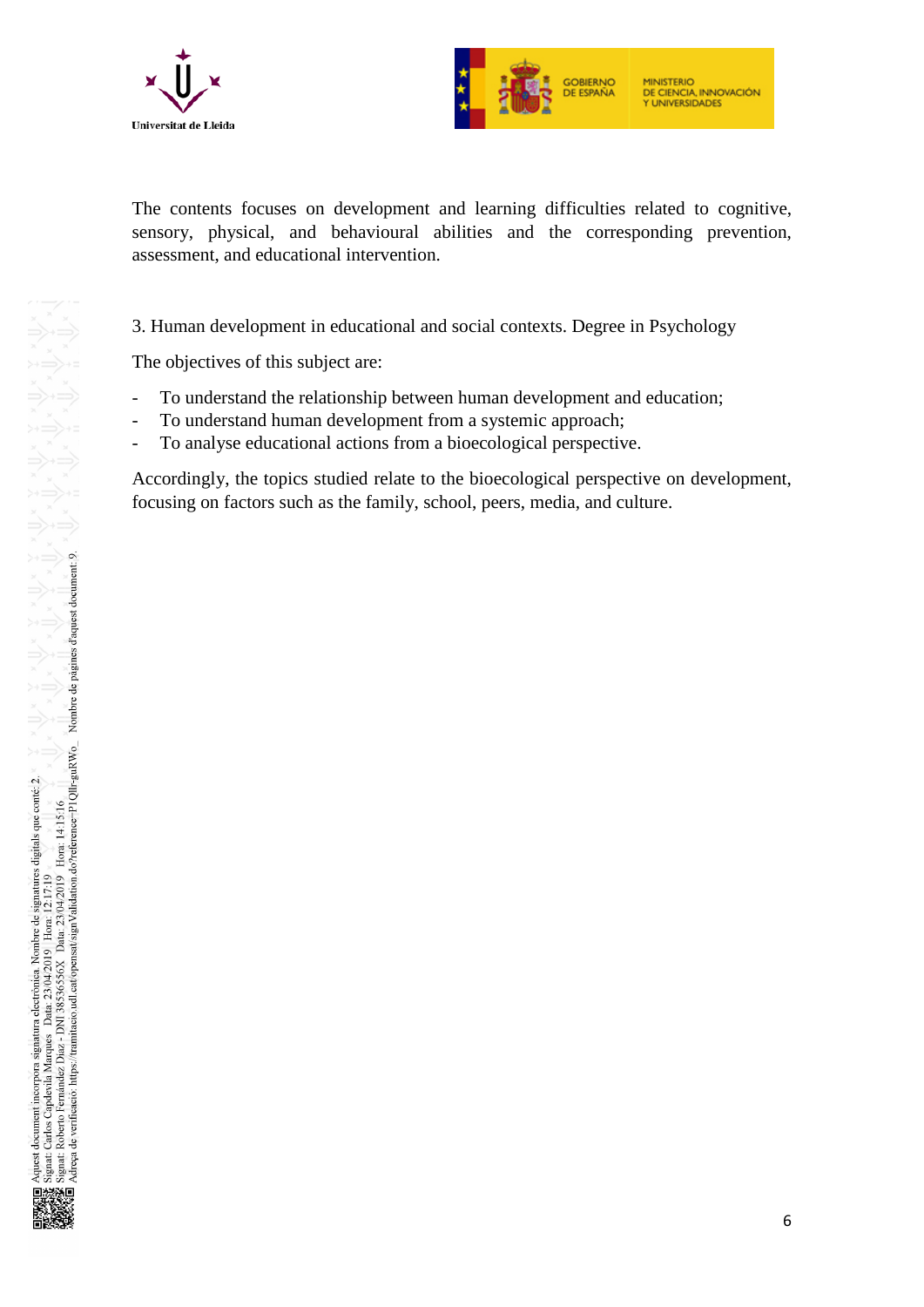



The contents focuses on development and learning difficulties related to cognitive, sensory, physical, and behavioural abilities and the corresponding prevention, assessment, and educational intervention.

## 3. Human development in educational and social contexts. Degree in Psychology

The objectives of this subject are:

- To understand the relationship between human development and education;
- To understand human development from a systemic approach;
- To analyse educational actions from a bioecological perspective.

Accordingly, the topics studied relate to the bioecological perspective on development, focusing on factors such as the family, school, peers, media, and culture.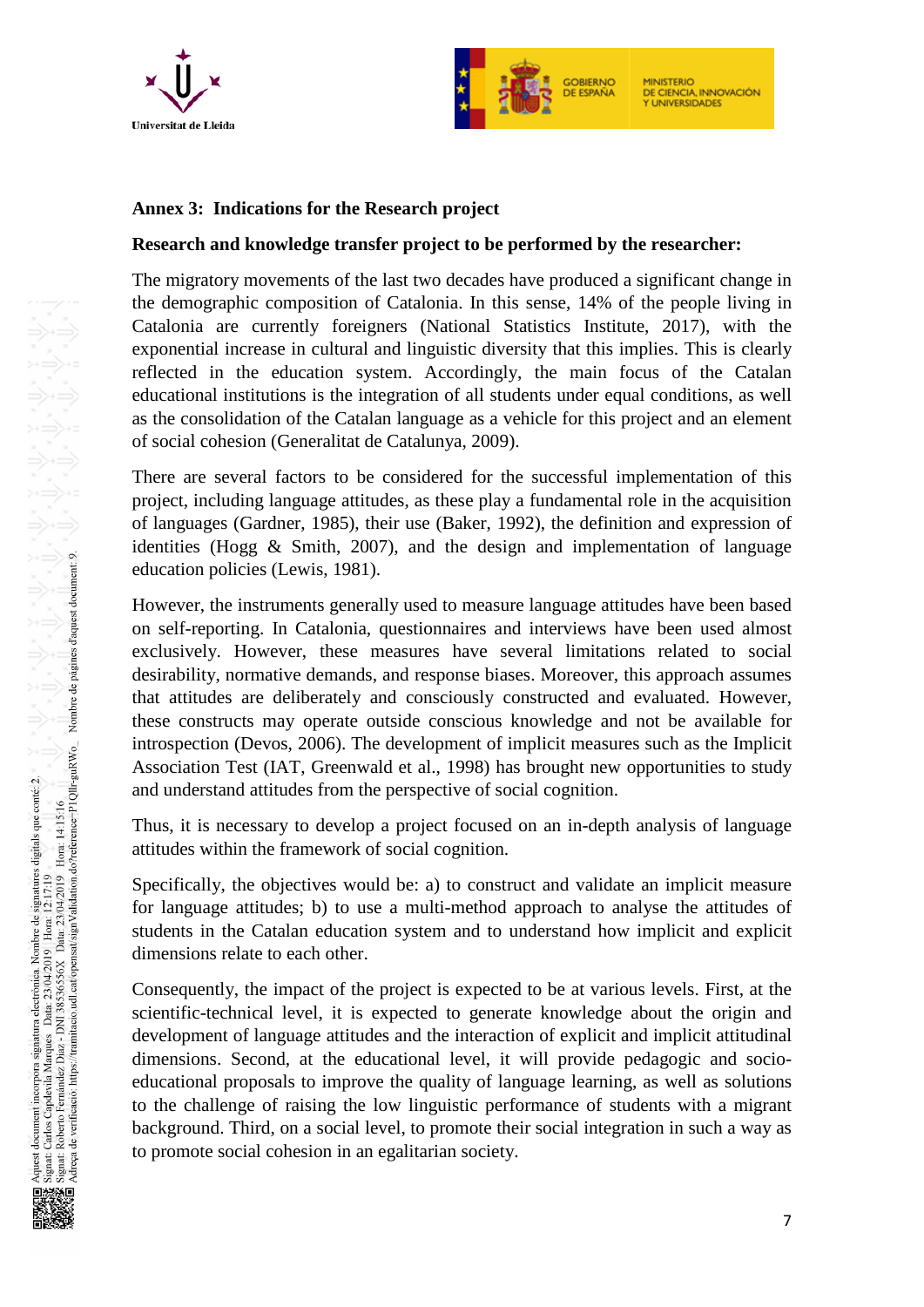



## **Annex 3: Indications for the Research project**

#### **Research and knowledge transfer project to be performed by the researcher:**

The migratory movements of the last two decades have produced a significant change in the demographic composition of Catalonia. In this sense, 14% of the people living in Catalonia are currently foreigners (National Statistics Institute, 2017), with the exponential increase in cultural and linguistic diversity that this implies. This is clearly reflected in the education system. Accordingly, the main focus of the Catalan educational institutions is the integration of all students under equal conditions, as well as the consolidation of the Catalan language as a vehicle for this project and an element of social cohesion (Generalitat de Catalunya, 2009).

There are several factors to be considered for the successful implementation of this project, including language attitudes, as these play a fundamental role in the acquisition of languages (Gardner, 1985), their use (Baker, 1992), the definition and expression of identities (Hogg & Smith, 2007), and the design and implementation of language education policies (Lewis, 1981).

However, the instruments generally used to measure language attitudes have been based on self-reporting. In Catalonia, questionnaires and interviews have been used almost exclusively. However, these measures have several limitations related to social desirability, normative demands, and response biases. Moreover, this approach assumes that attitudes are deliberately and consciously constructed and evaluated. However, these constructs may operate outside conscious knowledge and not be available for introspection (Devos, 2006). The development of implicit measures such as the Implicit Association Test (IAT, Greenwald et al., 1998) has brought new opportunities to study and understand attitudes from the perspective of social cognition.

Thus, it is necessary to develop a project focused on an in-depth analysis of language attitudes within the framework of social cognition.

Specifically, the objectives would be: a) to construct and validate an implicit measure for language attitudes; b) to use a multi-method approach to analyse the attitudes of students in the Catalan education system and to understand how implicit and explicit dimensions relate to each other.

Consequently, the impact of the project is expected to be at various levels. First, at the scientific-technical level, it is expected to generate knowledge about the origin and development of language attitudes and the interaction of explicit and implicit attitudinal dimensions. Second, at the educational level, it will provide pedagogic and socioeducational proposals to improve the quality of language learning, as well as solutions to the challenge of raising the low linguistic performance of students with a migrant background. Third, on a social level, to promote their social integration in such a way as to promote social cohesion in an egalitarian society.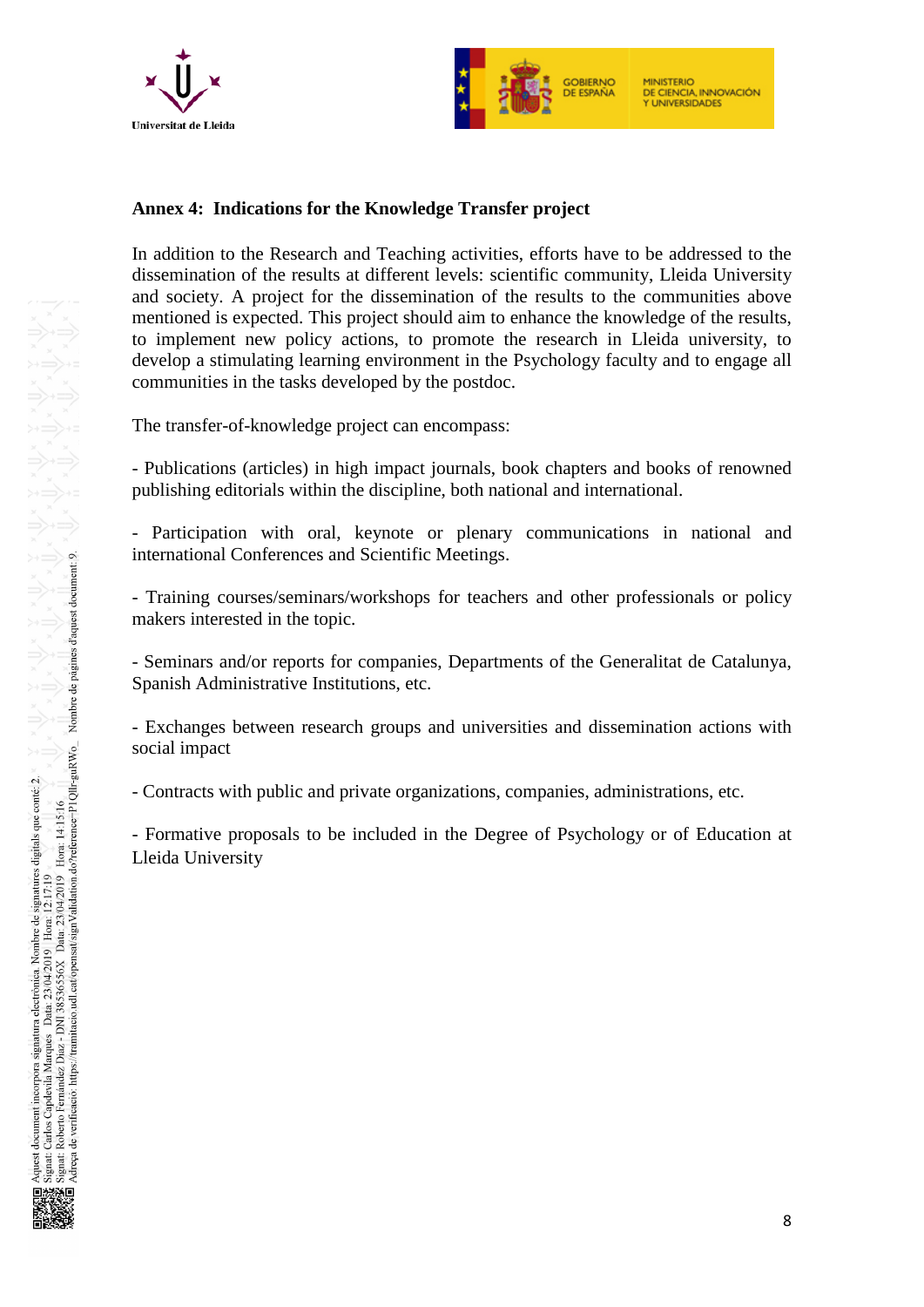



#### **Annex 4: Indications for the Knowledge Transfer project**

In addition to the Research and Teaching activities, efforts have to be addressed to the dissemination of the results at different levels: scientific community, Lleida University and society. A project for the dissemination of the results to the communities above mentioned is expected. This project should aim to enhance the knowledge of the results, to implement new policy actions, to promote the research in Lleida university, to develop a stimulating learning environment in the Psychology faculty and to engage all communities in the tasks developed by the postdoc.

The transfer-of-knowledge project can encompass:

- Publications (articles) in high impact journals, book chapters and books of renowned publishing editorials within the discipline, both national and international.

- Participation with oral, keynote or plenary communications in national and international Conferences and Scientific Meetings.

- Training courses/seminars/workshops for teachers and other professionals or policy makers interested in the topic.

- Seminars and/or reports for companies, Departments of the Generalitat de Catalunya, Spanish Administrative Institutions, etc.

- Exchanges between research groups and universities and dissemination actions with social impact

- Contracts with public and private organizations, companies, administrations, etc.

- Formative proposals to be included in the Degree of Psychology or of Education at Lleida University